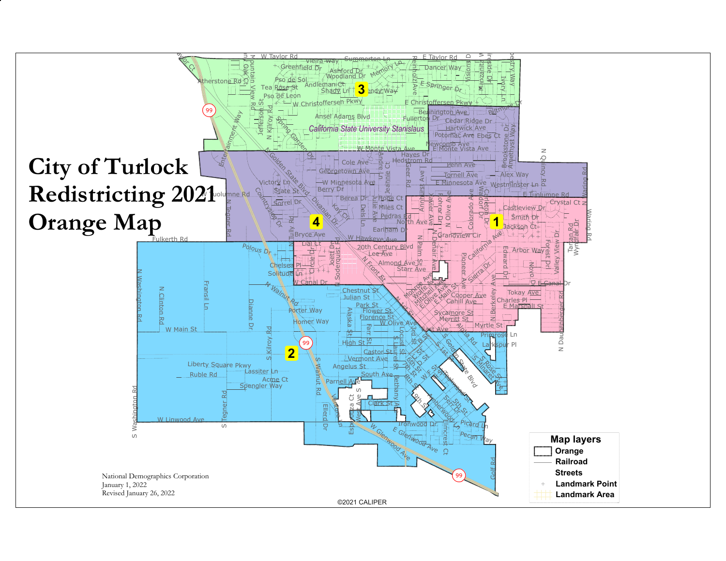